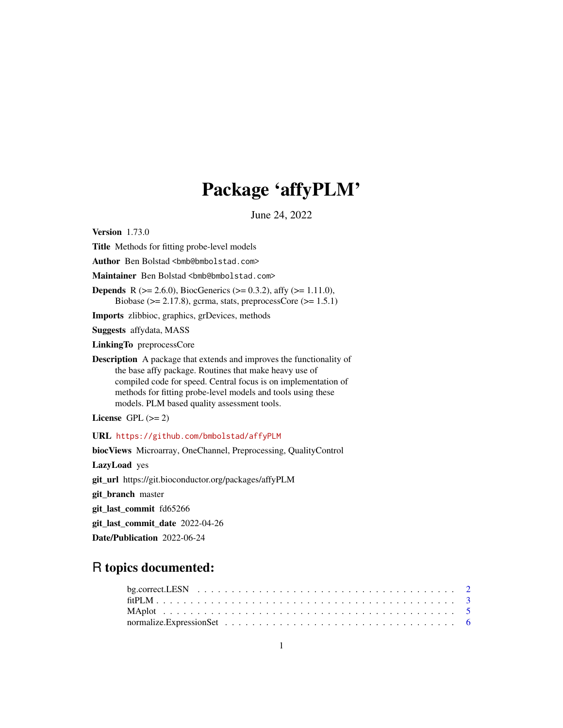# Package 'affyPLM'

June 24, 2022

<span id="page-0-0"></span>Version 1.73.0

Title Methods for fitting probe-level models

Author Ben Bolstad <br/> <br/>bmb@bmbolstad.com>

Maintainer Ben Bolstad <br/> <br/>bmb@bmbolstad.com>

**Depends** R ( $>= 2.6.0$ ), BiocGenerics ( $>= 0.3.2$ ), affy ( $>= 1.11.0$ ),

Biobase ( $> = 2.17.8$ ), gcrma, stats, preprocessCore ( $> = 1.5.1$ )

Imports zlibbioc, graphics, grDevices, methods

Suggests affydata, MASS

LinkingTo preprocessCore

Description A package that extends and improves the functionality of the base affy package. Routines that make heavy use of compiled code for speed. Central focus is on implementation of methods for fitting probe-level models and tools using these models. PLM based quality assessment tools.

License GPL  $(>= 2)$ 

URL <https://github.com/bmbolstad/affyPLM>

biocViews Microarray, OneChannel, Preprocessing, QualityControl

LazyLoad yes

git\_url https://git.bioconductor.org/packages/affyPLM

git\_branch master

git\_last\_commit fd65266

git\_last\_commit\_date 2022-04-26

Date/Publication 2022-06-24

# R topics documented: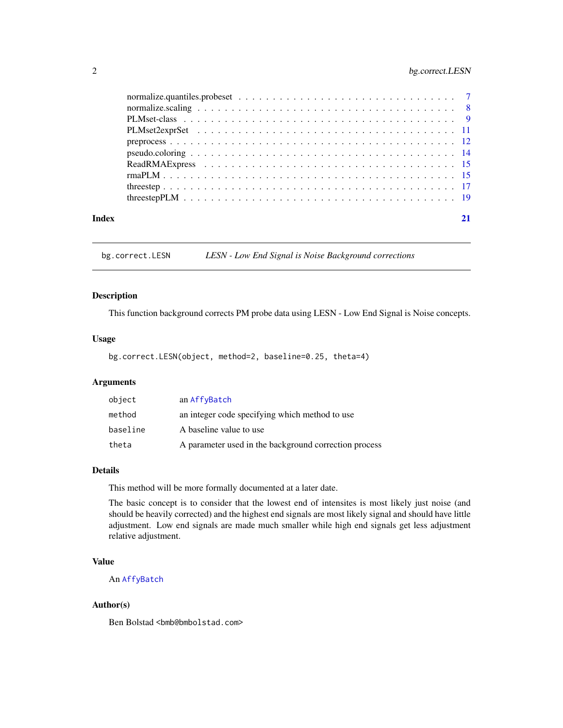# <span id="page-1-0"></span>2 bg.correct.LESN

| Index |  |
|-------|--|

bg.correct.LESN *LESN - Low End Signal is Noise Background corrections*

#### Description

This function background corrects PM probe data using LESN - Low End Signal is Noise concepts.

# Usage

```
bg.correct.LESN(object, method=2, baseline=0.25, theta=4)
```
# Arguments

| object   | an AffyBatch                                          |
|----------|-------------------------------------------------------|
| method   | an integer code specifying which method to use        |
| baseline | A baseline value to use                               |
| theta    | A parameter used in the background correction process |

## Details

This method will be more formally documented at a later date.

The basic concept is to consider that the lowest end of intensites is most likely just noise (and should be heavily corrected) and the highest end signals are most likely signal and should have little adjustment. Low end signals are made much smaller while high end signals get less adjustment relative adjustment.

# Value

An [AffyBatch](#page-0-0)

#### Author(s)

Ben Bolstad <bmb@bmbolstad.com>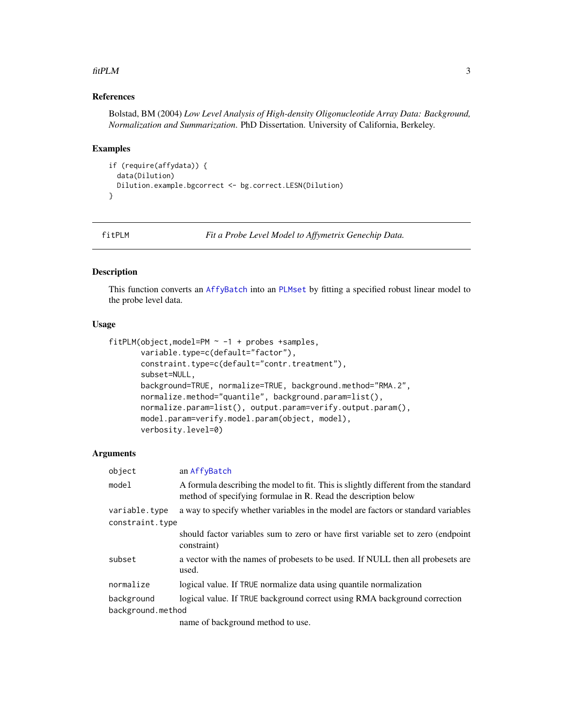#### <span id="page-2-0"></span> $fitPLM$  3

# References

Bolstad, BM (2004) *Low Level Analysis of High-density Oligonucleotide Array Data: Background, Normalization and Summarization*. PhD Dissertation. University of California, Berkeley.

#### Examples

```
if (require(affydata)) {
  data(Dilution)
  Dilution.example.bgcorrect <- bg.correct.LESN(Dilution)
}
```
<span id="page-2-1"></span>fitPLM *Fit a Probe Level Model to Affymetrix Genechip Data.*

# Description

This function converts an [AffyBatch](#page-0-0) into an [PLMset](#page-8-1) by fitting a specified robust linear model to the probe level data.

#### Usage

```
fitPLM(object,model=PM ~ -1 + probes +samples,
       variable.type=c(default="factor"),
       constraint.type=c(default="contr.treatment"),
       subset=NULL,
       background=TRUE, normalize=TRUE, background.method="RMA.2",
       normalize.method="quantile", background.param=list(),
       normalize.param=list(), output.param=verify.output.param(),
      model.param=verify.model.param(object, model),
       verbosity.level=0)
```

| object          | an AffyBatch                                                                                                                                          |  |  |  |  |  |
|-----------------|-------------------------------------------------------------------------------------------------------------------------------------------------------|--|--|--|--|--|
| model           | A formula describing the model to fit. This is slightly different from the standard<br>method of specifying formulae in R. Read the description below |  |  |  |  |  |
| variable.type   | a way to specify whether variables in the model are factors or standard variables                                                                     |  |  |  |  |  |
| constraint.type |                                                                                                                                                       |  |  |  |  |  |
|                 | should factor variables sum to zero or have first variable set to zero (endpoint<br>constraint)                                                       |  |  |  |  |  |
| subset          | a vector with the names of probesets to be used. If NULL then all probesets are<br>used.                                                              |  |  |  |  |  |
| normalize       | logical value. If TRUE normalize data using quantile normalization                                                                                    |  |  |  |  |  |
| background      | logical value. If TRUE background correct using RMA background correction                                                                             |  |  |  |  |  |
|                 | background.method                                                                                                                                     |  |  |  |  |  |
|                 | name of background method to use.                                                                                                                     |  |  |  |  |  |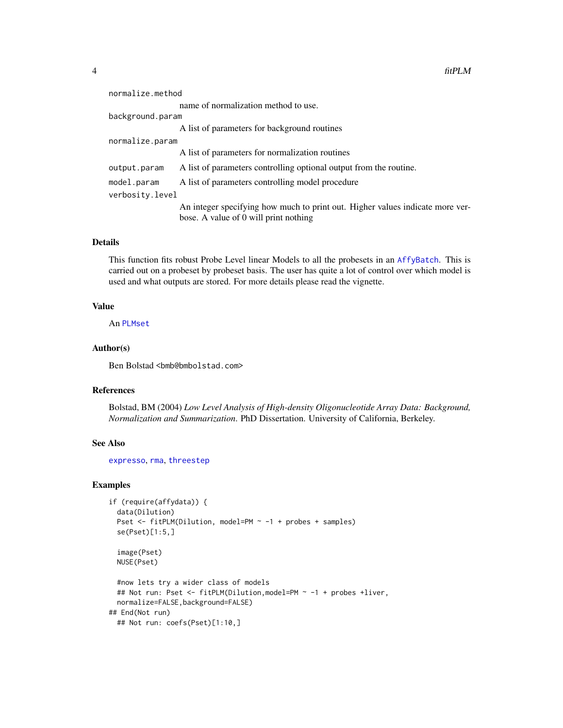<span id="page-3-0"></span>

| normalize.method                                                                                                       |  |  |  |  |  |
|------------------------------------------------------------------------------------------------------------------------|--|--|--|--|--|
| name of normalization method to use.                                                                                   |  |  |  |  |  |
| background.param                                                                                                       |  |  |  |  |  |
| A list of parameters for background routines                                                                           |  |  |  |  |  |
| normalize.param                                                                                                        |  |  |  |  |  |
| A list of parameters for normalization routines                                                                        |  |  |  |  |  |
| A list of parameters controlling optional output from the routine.                                                     |  |  |  |  |  |
| A list of parameters controlling model procedure                                                                       |  |  |  |  |  |
| verbosity.level                                                                                                        |  |  |  |  |  |
| An integer specifying how much to print out. Higher values indicate more ver-<br>bose. A value of 0 will print nothing |  |  |  |  |  |
|                                                                                                                        |  |  |  |  |  |

This function fits robust Probe Level linear Models to all the probesets in an [AffyBatch](#page-0-0). This is carried out on a probeset by probeset basis. The user has quite a lot of control over which model is used and what outputs are stored. For more details please read the vignette.

# Value

An [PLMset](#page-8-1)

### Author(s)

Ben Bolstad <bmb@bmbolstad.com>

# References

Bolstad, BM (2004) *Low Level Analysis of High-density Oligonucleotide Array Data: Background, Normalization and Summarization*. PhD Dissertation. University of California, Berkeley.

#### See Also

[expresso](#page-0-0), [rma](#page-0-0), [threestep](#page-16-1)

# Examples

```
if (require(affydata)) {
 data(Dilution)
 Pset <- fitPLM(Dilution, model=PM ~ -1 + probes + samples)
 se(Pset)[1:5,]
 image(Pset)
 NUSE(Pset)
 #now lets try a wider class of models
 ## Not run: Pset <- fitPLM(Dilution,model=PM ~ -1 + probes +liver,
 normalize=FALSE,background=FALSE)
## End(Not run)
 ## Not run: coefs(Pset)[1:10,]
```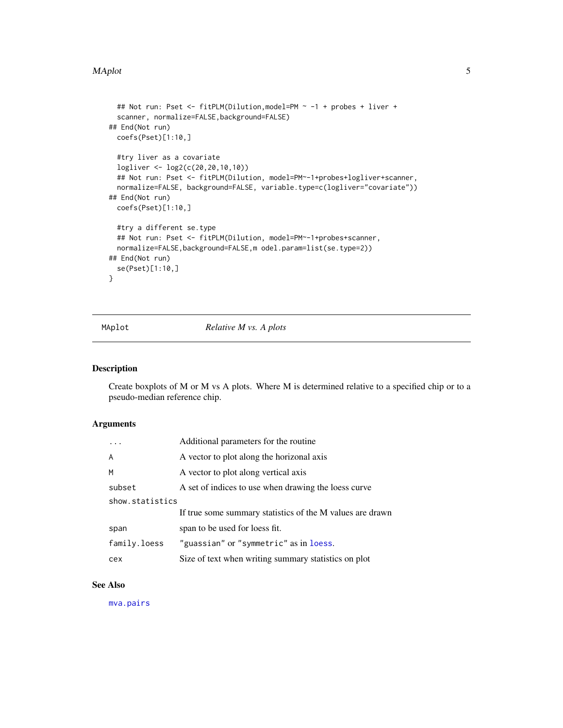#### <span id="page-4-0"></span>MAplot 5

```
## Not run: Pset <- fitPLM(Dilution,model=PM ~ -1 + probes + liver +
 scanner, normalize=FALSE,background=FALSE)
## End(Not run)
 coefs(Pset)[1:10,]
 #try liver as a covariate
 logliver <- log2(c(20,20,10,10))
 ## Not run: Pset <- fitPLM(Dilution, model=PM~-1+probes+logliver+scanner,
 normalize=FALSE, background=FALSE, variable.type=c(logliver="covariate"))
## End(Not run)
 coefs(Pset)[1:10,]
 #try a different se.type
 ## Not run: Pset <- fitPLM(Dilution, model=PM~-1+probes+scanner,
 normalize=FALSE,background=FALSE,m odel.param=list(se.type=2))
## End(Not run)
 se(Pset)[1:10,]
}
```
MAplot *Relative M vs. A plots*

# Description

Create boxplots of M or M vs A plots. Where M is determined relative to a specified chip or to a pseudo-median reference chip.

# Arguments

|                 | Additional parameters for the routine.                    |
|-----------------|-----------------------------------------------------------|
| A               | A vector to plot along the horizonal axis                 |
| M               | A vector to plot along vertical axis                      |
| subset          | A set of indices to use when drawing the loess curve      |
| show.statistics |                                                           |
|                 | If true some summary statistics of the M values are drawn |
| span            | span to be used for loess fit.                            |
| family.loess    | "guassian" or "symmetric" as in loess.                    |
| cex             | Size of text when writing summary statistics on plot      |

#### See Also

[mva.pairs](#page-0-0)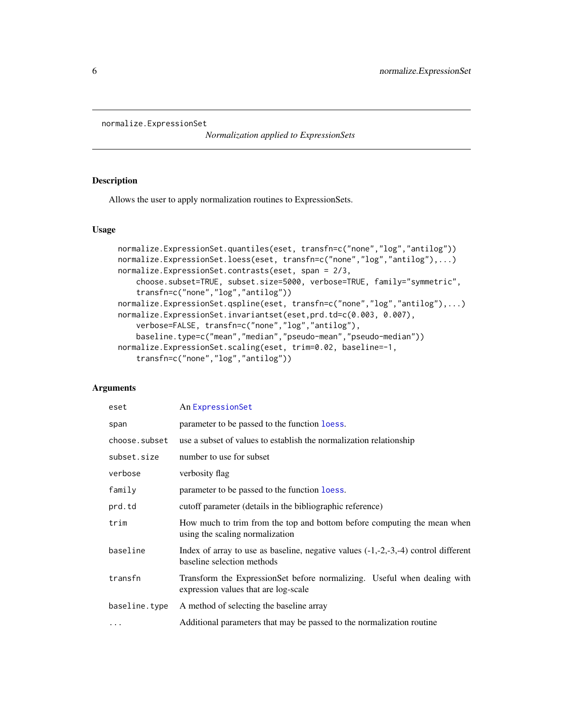```
normalize.ExpressionSet
```
*Normalization applied to ExpressionSets*

# Description

Allows the user to apply normalization routines to ExpressionSets.

# Usage

```
normalize.ExpressionSet.quantiles(eset, transfn=c("none","log","antilog"))
normalize.ExpressionSet.loess(eset, transfn=c("none","log","antilog"),...)
normalize.ExpressionSet.contrasts(eset, span = 2/3,
    choose.subset=TRUE, subset.size=5000, verbose=TRUE, family="symmetric",
    transfn=c("none","log","antilog"))
normalize.ExpressionSet.qspline(eset, transfn=c("none","log","antilog"),...)
normalize.ExpressionSet.invariantset(eset,prd.td=c(0.003, 0.007),
    verbose=FALSE, transfn=c("none","log","antilog"),
    baseline.type=c("mean","median","pseudo-mean","pseudo-median"))
normalize.ExpressionSet.scaling(eset, trim=0.02, baseline=-1,
    transfn=c("none","log","antilog"))
```

| eset          | An ExpressionSet                                                                                                   |
|---------------|--------------------------------------------------------------------------------------------------------------------|
| span          | parameter to be passed to the function loess.                                                                      |
| choose.subset | use a subset of values to establish the normalization relationship                                                 |
| subset.size   | number to use for subset                                                                                           |
| verbose       | verbosity flag                                                                                                     |
| family        | parameter to be passed to the function loess.                                                                      |
| prd.td        | cutoff parameter (details in the bibliographic reference)                                                          |
| trim          | How much to trim from the top and bottom before computing the mean when<br>using the scaling normalization         |
| baseline      | Index of array to use as baseline, negative values $(-1,-2,-3,-4)$ control different<br>baseline selection methods |
| transfn       | Transform the ExpressionSet before normalizing. Useful when dealing with<br>expression values that are log-scale   |
| baseline.type | A method of selecting the baseline array                                                                           |
| .             | Additional parameters that may be passed to the normalization routine                                              |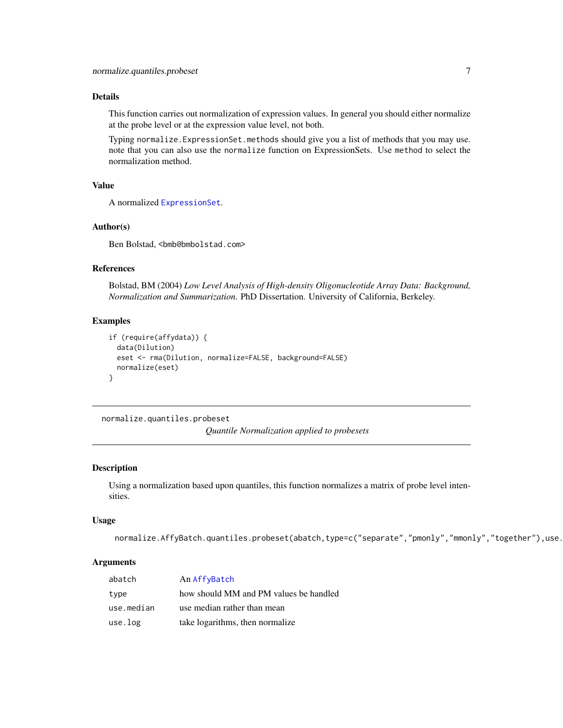<span id="page-6-0"></span>This function carries out normalization of expression values. In general you should either normalize at the probe level or at the expression value level, not both.

Typing normalize.ExpressionSet.methods should give you a list of methods that you may use. note that you can also use the normalize function on ExpressionSets. Use method to select the normalization method.

# Value

A normalized [ExpressionSet](#page-0-0).

#### Author(s)

Ben Bolstad, <bmb@bmbolstad.com>

#### References

Bolstad, BM (2004) *Low Level Analysis of High-density Oligonucleotide Array Data: Background, Normalization and Summarization*. PhD Dissertation. University of California, Berkeley.

#### Examples

```
if (require(affydata)) {
 data(Dilution)
 eset <- rma(Dilution, normalize=FALSE, background=FALSE)
 normalize(eset)
}
```
normalize.quantiles.probeset

*Quantile Normalization applied to probesets*

### Description

Using a normalization based upon quantiles, this function normalizes a matrix of probe level intensities.

#### Usage

normalize.AffyBatch.quantiles.probeset(abatch,type=c("separate","pmonly","mmonly","together"),use.

| abatch     | An AffyBatch                           |
|------------|----------------------------------------|
| type       | how should MM and PM values be handled |
| use.median | use median rather than mean            |
| use.log    | take logarithms, then normalize        |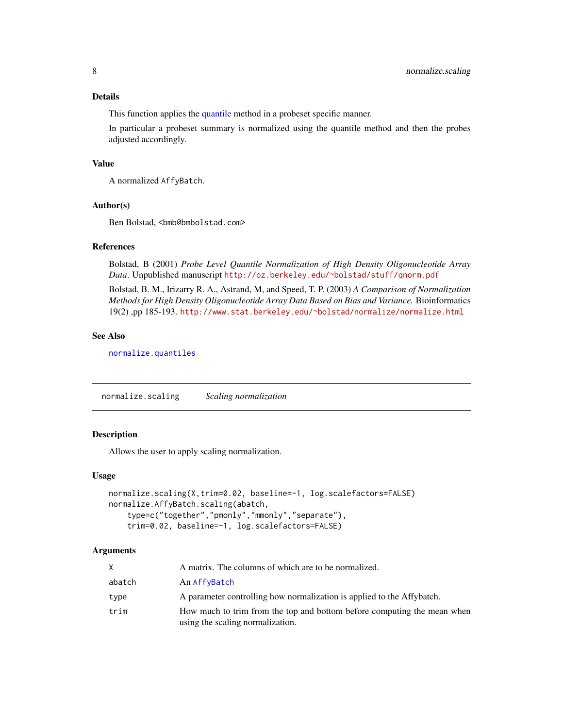<span id="page-7-0"></span>This function applies the [quantile](#page-0-0) method in a probeset specific manner.

In particular a probeset summary is normalized using the quantile method and then the probes adjusted accordingly.

#### Value

A normalized AffyBatch.

#### Author(s)

Ben Bolstad, <bmb@bmbolstad.com>

#### References

Bolstad, B (2001) *Probe Level Quantile Normalization of High Density Oligonucleotide Array Data*. Unpublished manuscript <http://oz.berkeley.edu/~bolstad/stuff/qnorm.pdf>

Bolstad, B. M., Irizarry R. A., Astrand, M, and Speed, T. P. (2003) *A Comparison of Normalization Methods for High Density Oligonucleotide Array Data Based on Bias and Variance.* Bioinformatics 19(2) ,pp 185-193. <http://www.stat.berkeley.edu/~bolstad/normalize/normalize.html>

# See Also

[normalize.quantiles](#page-0-0)

normalize.scaling *Scaling normalization*

# Description

Allows the user to apply scaling normalization.

#### Usage

```
normalize.scaling(X,trim=0.02, baseline=-1, log.scalefactors=FALSE)
normalize.AffyBatch.scaling(abatch,
   type=c("together","pmonly","mmonly","separate"),
    trim=0.02, baseline=-1, log.scalefactors=FALSE)
```

| X.     | A matrix. The columns of which are to be normalized.                                                        |
|--------|-------------------------------------------------------------------------------------------------------------|
| abatch | An AffyBatch                                                                                                |
| type   | A parameter controlling how normalization is applied to the Affybatch.                                      |
| trim   | How much to trim from the top and bottom before computing the mean when<br>using the scaling normalization. |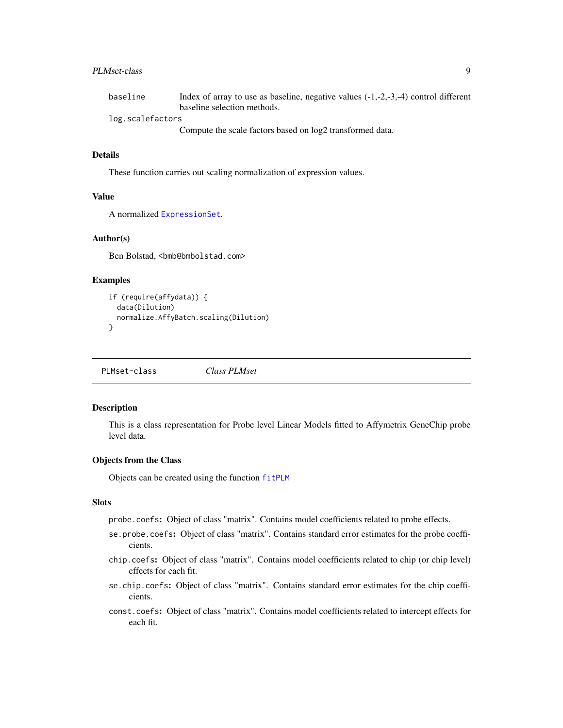# <span id="page-8-0"></span>PLMset-class 9

| baseline         | Index of array to use as baseline, negative values $(-1,-2,-3,-4)$ control different                                                                                                                                                                                                                                                                          |
|------------------|---------------------------------------------------------------------------------------------------------------------------------------------------------------------------------------------------------------------------------------------------------------------------------------------------------------------------------------------------------------|
|                  | baseline selection methods.                                                                                                                                                                                                                                                                                                                                   |
| log.scalefactors |                                                                                                                                                                                                                                                                                                                                                               |
|                  | $\alpha$ , $\alpha$ , $\alpha$ , $\alpha$ , $\alpha$ , $\alpha$ , $\alpha$ , $\alpha$ , $\alpha$ , $\alpha$ , $\alpha$ , $\alpha$ , $\alpha$ , $\alpha$ , $\alpha$ , $\alpha$ , $\alpha$ , $\alpha$ , $\alpha$ , $\alpha$ , $\alpha$ , $\alpha$ , $\alpha$ , $\alpha$ , $\alpha$ , $\alpha$ , $\alpha$ , $\alpha$ , $\alpha$ , $\alpha$ , $\alpha$ , $\alpha$ |

Compute the scale factors based on log2 transformed data.

#### Details

These function carries out scaling normalization of expression values.

# Value

A normalized [ExpressionSet](#page-0-0).

# Author(s)

Ben Bolstad, <bmb@bmbolstad.com>

# Examples

```
if (require(affydata)) {
 data(Dilution)
 normalize.AffyBatch.scaling(Dilution)
}
```
PLMset-class *Class PLMset*

# <span id="page-8-1"></span>Description

This is a class representation for Probe level Linear Models fitted to Affymetrix GeneChip probe level data.

# Objects from the Class

Objects can be created using the function [fitPLM](#page-2-1)

#### **Slots**

probe.coefs: Object of class "matrix". Contains model coefficients related to probe effects.

- se.probe.coefs: Object of class "matrix". Contains standard error estimates for the probe coefficients.
- chip.coefs: Object of class "matrix". Contains model coefficients related to chip (or chip level) effects for each fit.
- se.chip.coefs: Object of class "matrix". Contains standard error estimates for the chip coefficients.
- const.coefs: Object of class "matrix". Contains model coefficients related to intercept effects for each fit.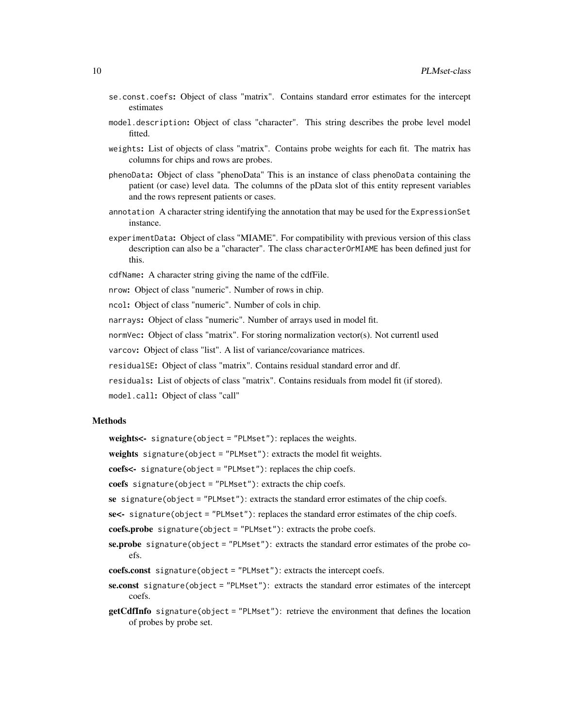- se.const.coefs: Object of class "matrix". Contains standard error estimates for the intercept estimates
- model.description: Object of class "character". This string describes the probe level model fitted.
- weights: List of objects of class "matrix". Contains probe weights for each fit. The matrix has columns for chips and rows are probes.
- phenoData: Object of class "phenoData" This is an instance of class phenoData containing the patient (or case) level data. The columns of the pData slot of this entity represent variables and the rows represent patients or cases.
- annotation A character string identifying the annotation that may be used for the ExpressionSet instance.
- experimentData: Object of class "MIAME". For compatibility with previous version of this class description can also be a "character". The class characterOrMIAME has been defined just for this.
- cdfName: A character string giving the name of the cdfFile.

nrow: Object of class "numeric". Number of rows in chip.

ncol: Object of class "numeric". Number of cols in chip.

narrays: Object of class "numeric". Number of arrays used in model fit.

normVec: Object of class "matrix". For storing normalization vector(s). Not currentl used

varcov: Object of class "list". A list of variance/covariance matrices.

residualSE: Object of class "matrix". Contains residual standard error and df.

residuals: List of objects of class "matrix". Contains residuals from model fit (if stored).

model.call: Object of class "call"

#### Methods

weights<- signature(object = "PLMset"): replaces the weights.

weights signature(object = "PLMset"): extracts the model fit weights.

coefs<- signature(object = "PLMset"): replaces the chip coefs.

coefs signature(object = "PLMset"): extracts the chip coefs.

se signature(object = "PLMset"): extracts the standard error estimates of the chip coefs.

se<- signature(object = "PLMset"): replaces the standard error estimates of the chip coefs.

coefs.probe signature(object = "PLMset"): extracts the probe coefs.

- se.probe signature(object = "PLMset"): extracts the standard error estimates of the probe coefs.
- coefs.const signature(object = "PLMset"): extracts the intercept coefs.
- se.const signature(object = "PLMset"): extracts the standard error estimates of the intercept coefs.
- getCdfInfo signature(object = "PLMset"): retrieve the environment that defines the location of probes by probe set.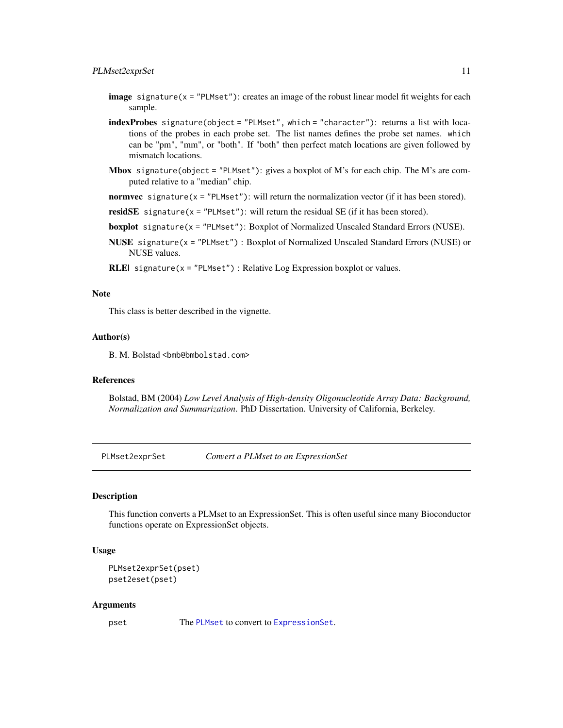- <span id="page-10-0"></span>**image** signature( $x =$  "PLMset"): creates an image of the robust linear model fit weights for each sample.
- indexProbes signature(object = "PLMset", which = "character"): returns a list with locations of the probes in each probe set. The list names defines the probe set names. which can be "pm", "mm", or "both". If "both" then perfect match locations are given followed by mismatch locations.
- **Mbox** signature(object = "PLMset"): gives a boxplot of M's for each chip. The M's are computed relative to a "median" chip.
- **normvec** signature( $x =$  "PLMset"): will return the normalization vector (if it has been stored).
- residSE signature( $x =$  "PLMset"): will return the residual SE (if it has been stored).
- boxplot signature(x = "PLMset"): Boxplot of Normalized Unscaled Standard Errors (NUSE).
- NUSE signature(x = "PLMset") : Boxplot of Normalized Unscaled Standard Errors (NUSE) or NUSE values.
- **RLE**| signature( $x =$  "PLMset") : Relative Log Expression boxplot or values.

# **Note**

This class is better described in the vignette.

#### Author(s)

B. M. Bolstad <br/>bmb@bmbolstad.com>

#### References

Bolstad, BM (2004) *Low Level Analysis of High-density Oligonucleotide Array Data: Background, Normalization and Summarization*. PhD Dissertation. University of California, Berkeley.

PLMset2exprSet *Convert a PLMset to an ExpressionSet*

#### Description

This function converts a PLMset to an ExpressionSet. This is often useful since many Bioconductor functions operate on ExpressionSet objects.

## Usage

```
PLMset2exprSet(pset)
pset2eset(pset)
```
#### Arguments

pset The [PLMset](#page-8-1) to convert to [ExpressionSet](#page-0-0).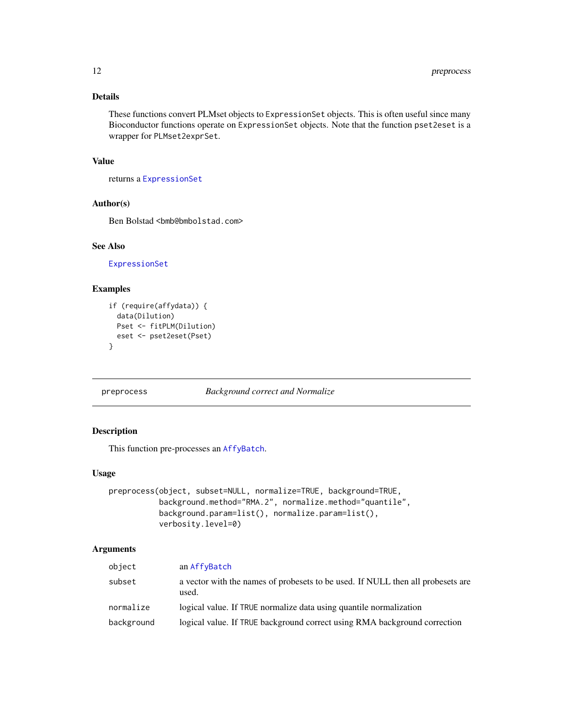<span id="page-11-0"></span>These functions convert PLMset objects to ExpressionSet objects. This is often useful since many Bioconductor functions operate on ExpressionSet objects. Note that the function pset2eset is a wrapper for PLMset2exprSet.

# Value

returns a [ExpressionSet](#page-0-0)

#### Author(s)

Ben Bolstad <bmb@bmbolstad.com>

# See Also

[ExpressionSet](#page-0-0)

# Examples

```
if (require(affydata)) {
  data(Dilution)
  Pset <- fitPLM(Dilution)
  eset <- pset2eset(Pset)
}
```
preprocess *Background correct and Normalize*

# Description

This function pre-processes an [AffyBatch](#page-0-0).

#### Usage

```
preprocess(object, subset=NULL, normalize=TRUE, background=TRUE,
           background.method="RMA.2", normalize.method="quantile",
           background.param=list(), normalize.param=list(),
           verbosity.level=0)
```

| object     | an AffyBatch                                                                             |
|------------|------------------------------------------------------------------------------------------|
| subset     | a vector with the names of probesets to be used. If NULL then all probesets are<br>used. |
| normalize  | logical value. If TRUE normalize data using quantile normalization                       |
| background | logical value. If TRUE background correct using RMA background correction                |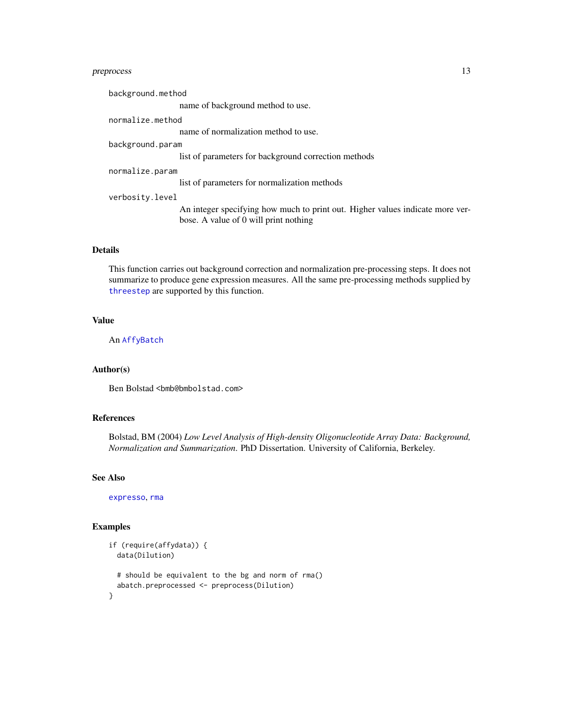# <span id="page-12-0"></span>preprocess 13

background.method name of background method to use. normalize.method name of normalization method to use. background.param list of parameters for background correction methods normalize.param list of parameters for normalization methods verbosity.level An integer specifying how much to print out. Higher values indicate more verbose. A value of 0 will print nothing

# Details

This function carries out background correction and normalization pre-processing steps. It does not summarize to produce gene expression measures. All the same pre-processing methods supplied by [threestep](#page-16-1) are supported by this function.

#### Value

An [AffyBatch](#page-0-0)

# Author(s)

Ben Bolstad <bmb@bmbolstad.com>

#### References

Bolstad, BM (2004) *Low Level Analysis of High-density Oligonucleotide Array Data: Background, Normalization and Summarization*. PhD Dissertation. University of California, Berkeley.

#### See Also

[expresso](#page-0-0), [rma](#page-0-0)

#### Examples

```
if (require(affydata)) {
 data(Dilution)
 # should be equivalent to the bg and norm of rma()
 abatch.preprocessed <- preprocess(Dilution)
}
```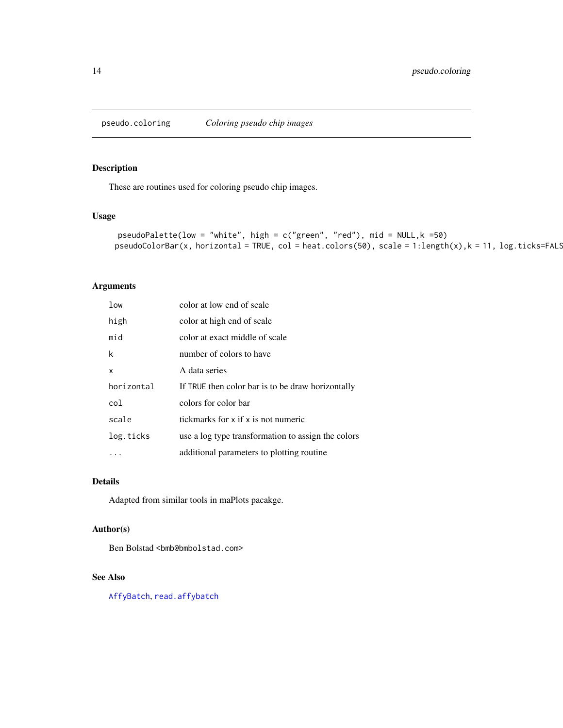<span id="page-13-0"></span>pseudo.coloring *Coloring pseudo chip images*

# Description

These are routines used for coloring pseudo chip images.

# Usage

```
pseudoPalette(low = "white", high = c("green", "red"), mid = NULL,k =50)
pseudoColorBar(x, horizontal = TRUE, col = heatcolor(50), scale = 1: length(x), k = 11, log.ticks=FALSE.
```
#### Arguments

| 1 <sub>ow</sub> | color at low end of scale                          |
|-----------------|----------------------------------------------------|
| high            | color at high end of scale                         |
| mid             | color at exact middle of scale                     |
| k               | number of colors to have                           |
| x               | A data series                                      |
| horizontal      | If TRUE then color bar is to be draw horizontally  |
| col             | colors for color bar                               |
| scale           | tickmarks for x if x is not numeric                |
| log.ticks       | use a log type transformation to assign the colors |
|                 | additional parameters to plotting routine          |

# Details

Adapted from similar tools in maPlots pacakge.

#### Author(s)

Ben Bolstad <br/> <br/>bmb@bmbolstad.com>

# See Also

[AffyBatch](#page-0-0), [read.affybatch](#page-0-0)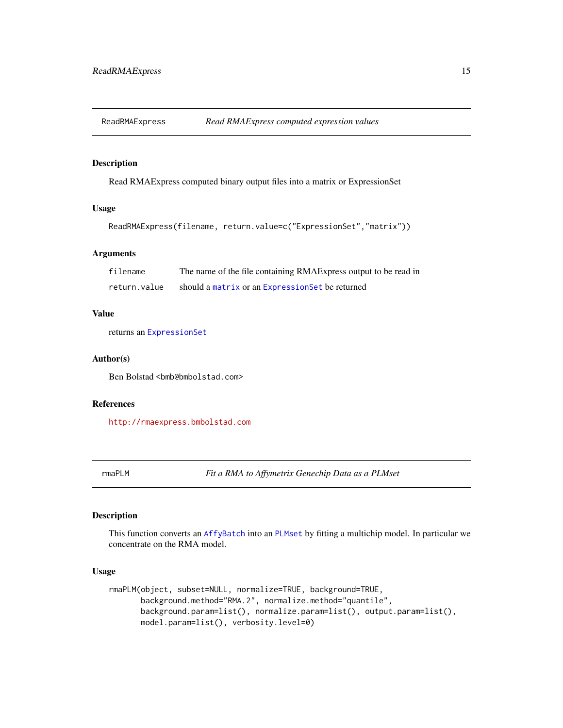<span id="page-14-0"></span>

# Description

Read RMAExpress computed binary output files into a matrix or ExpressionSet

#### Usage

```
ReadRMAExpress(filename, return.value=c("ExpressionSet","matrix"))
```
## Arguments

| filename     | The name of the file containing RMAExpress output to be read in |
|--------------|-----------------------------------------------------------------|
| return.value | should a matrix or an Expression Set be returned                |

# Value

returns an [ExpressionSet](#page-0-0)

#### Author(s)

Ben Bolstad <bmb@bmbolstad.com>

# References

<http://rmaexpress.bmbolstad.com>

<span id="page-14-1"></span>rmaPLM *Fit a RMA to Affymetrix Genechip Data as a PLMset*

# Description

This function converts an [AffyBatch](#page-0-0) into an [PLMset](#page-8-1) by fitting a multichip model. In particular we concentrate on the RMA model.

## Usage

```
rmaPLM(object, subset=NULL, normalize=TRUE, background=TRUE,
      background.method="RMA.2", normalize.method="quantile",
      background.param=list(), normalize.param=list(), output.param=list(),
      model.param=list(), verbosity.level=0)
```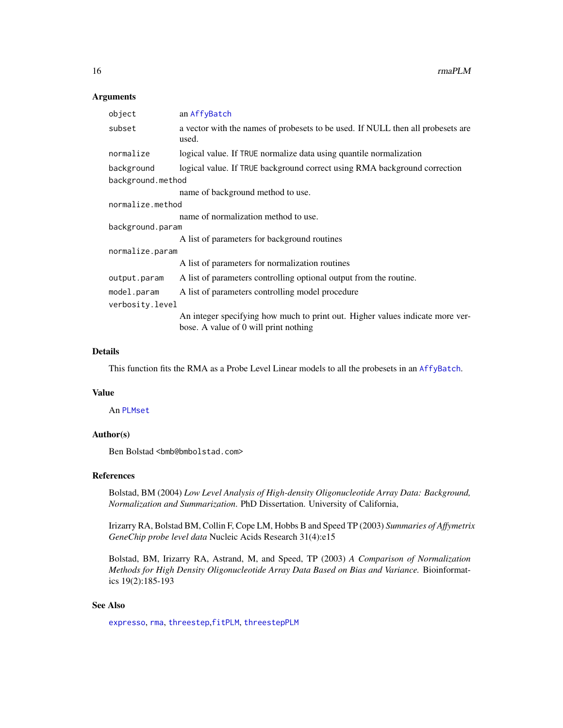#### <span id="page-15-0"></span>Arguments

| object            | an AffyBatch                                                                                                           |  |
|-------------------|------------------------------------------------------------------------------------------------------------------------|--|
| subset            | a vector with the names of probesets to be used. If NULL then all probesets are<br>used.                               |  |
| normalize         | logical value. If TRUE normalize data using quantile normalization                                                     |  |
| background        | logical value. If TRUE background correct using RMA background correction                                              |  |
| background.method |                                                                                                                        |  |
|                   | name of background method to use.                                                                                      |  |
| normalize.method  |                                                                                                                        |  |
|                   | name of normalization method to use.                                                                                   |  |
| background.param  |                                                                                                                        |  |
|                   | A list of parameters for background routines                                                                           |  |
| normalize.param   |                                                                                                                        |  |
|                   | A list of parameters for normalization routines                                                                        |  |
| output.param      | A list of parameters controlling optional output from the routine.                                                     |  |
| model.param       | A list of parameters controlling model procedure                                                                       |  |
| verbosity.level   |                                                                                                                        |  |
|                   | An integer specifying how much to print out. Higher values indicate more ver-<br>bose. A value of 0 will print nothing |  |
|                   |                                                                                                                        |  |

#### Details

This function fits the RMA as a Probe Level Linear models to all the probesets in an [AffyBatch](#page-0-0).

#### Value

An [PLMset](#page-8-1)

# Author(s)

Ben Bolstad <br/> <br/>bmb@bmbolstad.com>

# References

Bolstad, BM (2004) *Low Level Analysis of High-density Oligonucleotide Array Data: Background, Normalization and Summarization*. PhD Dissertation. University of California,

Irizarry RA, Bolstad BM, Collin F, Cope LM, Hobbs B and Speed TP (2003) *Summaries of Affymetrix GeneChip probe level data* Nucleic Acids Research 31(4):e15

Bolstad, BM, Irizarry RA, Astrand, M, and Speed, TP (2003) *A Comparison of Normalization Methods for High Density Oligonucleotide Array Data Based on Bias and Variance.* Bioinformatics 19(2):185-193

# See Also

[expresso](#page-0-0), [rma](#page-0-0), [threestep](#page-16-1),[fitPLM](#page-2-1), [threestepPLM](#page-18-1)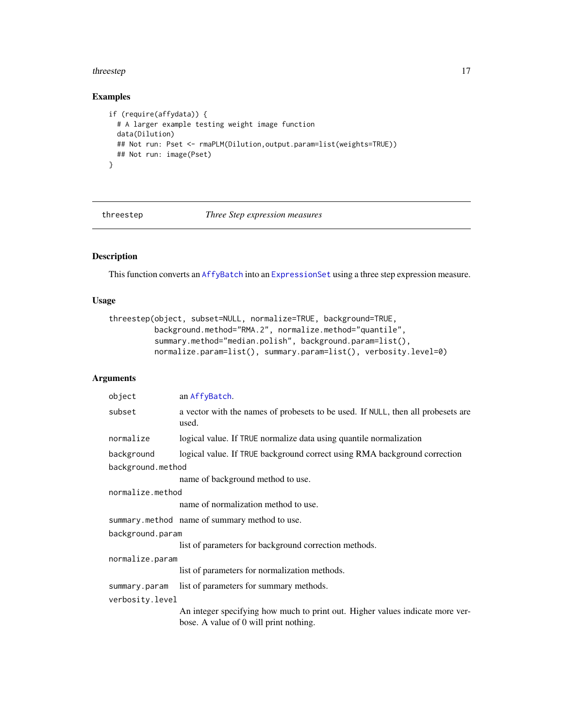#### <span id="page-16-0"></span>threestep 17

# Examples

```
if (require(affydata)) {
 # A larger example testing weight image function
 data(Dilution)
 ## Not run: Pset <- rmaPLM(Dilution,output.param=list(weights=TRUE))
 ## Not run: image(Pset)
}
```
<span id="page-16-1"></span>threestep *Three Step expression measures*

# Description

This function converts an [AffyBatch](#page-0-0) into an [ExpressionSet](#page-0-0) using a three step expression measure.

# Usage

```
threestep(object, subset=NULL, normalize=TRUE, background=TRUE,
         background.method="RMA.2", normalize.method="quantile",
          summary.method="median.polish", background.param=list(),
         normalize.param=list(), summary.param=list(), verbosity.level=0)
```

| object            | an AffyBatch.                                                                                                           |  |
|-------------------|-------------------------------------------------------------------------------------------------------------------------|--|
| subset            | a vector with the names of probesets to be used. If NULL, then all probesets are<br>used.                               |  |
| normalize         | logical value. If TRUE normalize data using quantile normalization                                                      |  |
| background        | logical value. If TRUE background correct using RMA background correction                                               |  |
| background.method |                                                                                                                         |  |
|                   | name of background method to use.                                                                                       |  |
| normalize.method  |                                                                                                                         |  |
|                   | name of normalization method to use.                                                                                    |  |
|                   | summary.method name of summary method to use.                                                                           |  |
| background.param  |                                                                                                                         |  |
|                   | list of parameters for background correction methods.                                                                   |  |
| normalize.param   |                                                                                                                         |  |
|                   | list of parameters for normalization methods.                                                                           |  |
| summary.param     | list of parameters for summary methods.                                                                                 |  |
| verbosity.level   |                                                                                                                         |  |
|                   | An integer specifying how much to print out. Higher values indicate more ver-<br>bose. A value of 0 will print nothing. |  |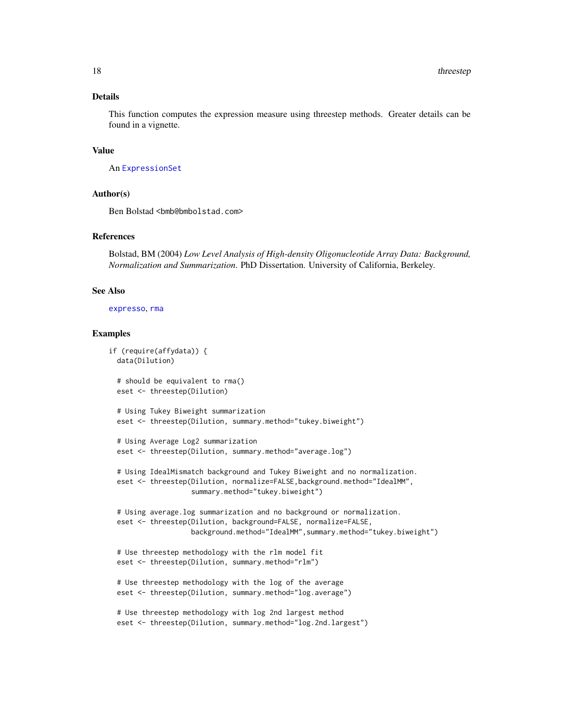<span id="page-17-0"></span>This function computes the expression measure using threestep methods. Greater details can be found in a vignette.

## Value

An [ExpressionSet](#page-0-0)

#### Author(s)

Ben Bolstad <bmb@bmbolstad.com>

# References

Bolstad, BM (2004) *Low Level Analysis of High-density Oligonucleotide Array Data: Background, Normalization and Summarization*. PhD Dissertation. University of California, Berkeley.

#### See Also

[expresso](#page-0-0), [rma](#page-0-0)

#### Examples

```
if (require(affydata)) {
 data(Dilution)
 # should be equivalent to rma()
 eset <- threestep(Dilution)
 # Using Tukey Biweight summarization
 eset <- threestep(Dilution, summary.method="tukey.biweight")
 # Using Average Log2 summarization
 eset <- threestep(Dilution, summary.method="average.log")
 # Using IdealMismatch background and Tukey Biweight and no normalization.
 eset <- threestep(Dilution, normalize=FALSE,background.method="IdealMM",
                    summary.method="tukey.biweight")
 # Using average.log summarization and no background or normalization.
 eset <- threestep(Dilution, background=FALSE, normalize=FALSE,
                   background.method="IdealMM",summary.method="tukey.biweight")
 # Use threestep methodology with the rlm model fit
 eset <- threestep(Dilution, summary.method="rlm")
 # Use threestep methodology with the log of the average
 eset <- threestep(Dilution, summary.method="log.average")
 # Use threestep methodology with log 2nd largest method
 eset <- threestep(Dilution, summary.method="log.2nd.largest")
```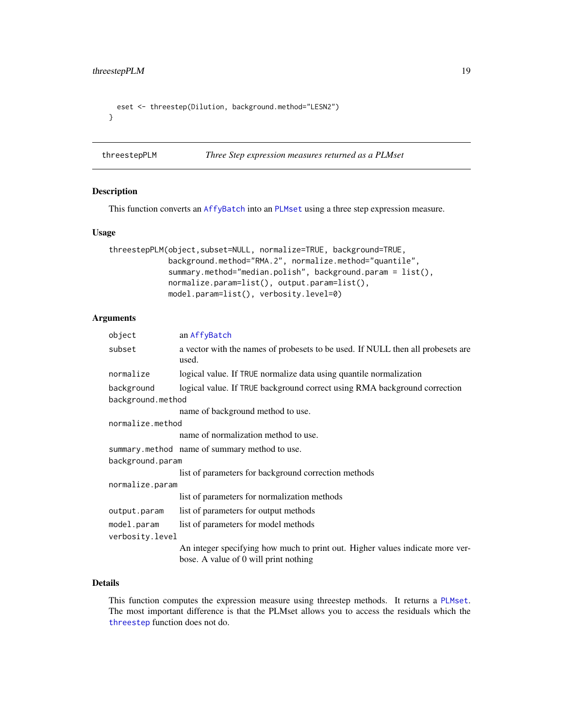```
eset <- threestep(Dilution, background.method="LESN2")
}
```
<span id="page-18-1"></span>threestepPLM *Three Step expression measures returned as a PLMset*

#### Description

This function converts an [AffyBatch](#page-0-0) into an [PLMset](#page-8-1) using a three step expression measure.

#### Usage

```
threestepPLM(object,subset=NULL, normalize=TRUE, background=TRUE,
            background.method="RMA.2", normalize.method="quantile",
             summary.method="median.polish", background.param = list(),
            normalize.param=list(), output.param=list(),
            model.param=list(), verbosity.level=0)
```
# Arguments

| object            | an AffyBatch                                                                             |
|-------------------|------------------------------------------------------------------------------------------|
| subset            | a vector with the names of probesets to be used. If NULL then all probesets are<br>used. |
| normalize         | logical value. If TRUE normalize data using quantile normalization                       |
| background        | logical value. If TRUE background correct using RMA background correction                |
| background.method |                                                                                          |
|                   | name of background method to use.                                                        |
| normalize.method  |                                                                                          |
|                   | name of normalization method to use.                                                     |
|                   | summary.method name of summary method to use.                                            |
| background.param  |                                                                                          |
|                   | list of parameters for background correction methods                                     |
| normalize.param   |                                                                                          |
|                   | list of parameters for normalization methods                                             |
| output.param      | list of parameters for output methods                                                    |
| model.param       | list of parameters for model methods                                                     |
| verbosity.level   |                                                                                          |
|                   | An integer specifying how much to print out. Higher values indicate more ver-            |
|                   | bose. A value of 0 will print nothing                                                    |

## Details

This function computes the expression measure using threestep methods. It returns a [PLMset](#page-8-1). The most important difference is that the PLMset allows you to access the residuals which the [threestep](#page-16-1) function does not do.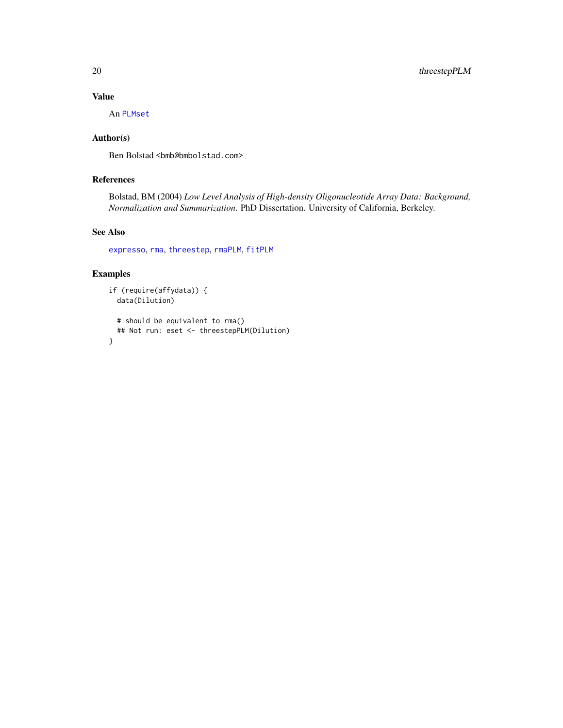# Value

An [PLMset](#page-8-1)

# Author(s)

Ben Bolstad <bmb@bmbolstad.com>

# References

Bolstad, BM (2004) *Low Level Analysis of High-density Oligonucleotide Array Data: Background, Normalization and Summarization*. PhD Dissertation. University of California, Berkeley.

# See Also

[expresso](#page-0-0), [rma](#page-0-0), [threestep](#page-16-1), [rmaPLM](#page-14-1), [fitPLM](#page-2-1)

# Examples

```
if (require(affydata)) {
  data(Dilution)
  # should be equivalent to rma()
  ## Not run: eset <- threestepPLM(Dilution)
}
```
<span id="page-19-0"></span>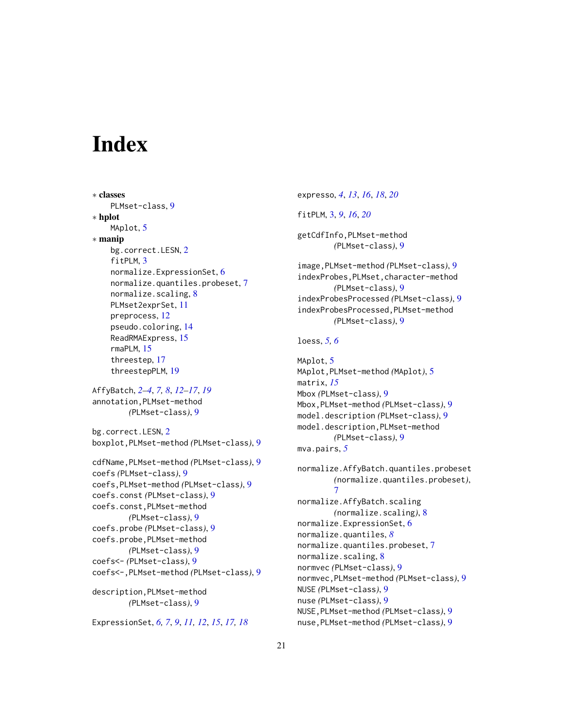# <span id="page-20-0"></span>**Index**

```
∗ classes
    PLMset-class, 9
∗ hplot
    MAplot, 5
∗ manip
    bg.correct.LESN, 2
    fitPLM, 3
    normalize.ExpressionSet, 6
    normalize.quantiles.probeset, 7
    normalize.scaling, 8
    PLMset2exprSet, 11
    preprocess, 12
    pseudo.coloring, 14
    ReadRMAExpress, 15
    rmaPLM, 15
    threestep, 17
    threestepPLM, 19
AffyBatch, 2–4, 7, 8, 12–17, 19
annotation,PLMset-method
```

```
bg.correct.LESN, 2
boxplot,PLMset-method (PLMset-class), 9
```
*(*PLMset-class*)*, [9](#page-8-0)

```
cdfName,PLMset-method (PLMset-class), 9
coefs (PLMset-class), 9
coefs,PLMset-method (PLMset-class), 9
coefs.const (PLMset-class), 9
coefs.const,PLMset-method
        (PLMset-class), 9
coefs.probe (PLMset-class), 9
coefs.probe,PLMset-method
        (PLMset-class), 9
coefs<- (PLMset-class), 9
coefs<-,PLMset-method (PLMset-class), 9
description,PLMset-method
```

```
(PLMset-class), 9
```
ExpressionSet, *[6,](#page-5-0) [7](#page-6-0)*, *[9](#page-8-0)*, *[11,](#page-10-0) [12](#page-11-0)*, *[15](#page-14-0)*, *[17,](#page-16-0) [18](#page-17-0)*

```
expresso, 4, 13, 16, 18, 20
fitPLM, 3, 9, 16, 20
getCdfInfo,PLMset-method
        (PLMset-class), 9
image,PLMset-method (PLMset-class), 9
indexProbes,PLMset,character-method
        (PLMset-class), 9
indexProbesProcessed (PLMset-class), 9
indexProbesProcessed,PLMset-method
        (PLMset-class), 9
loess, 5, 6
MAplot, 5
MAplot,PLMset-method (MAplot), 5
matrix, 15
Mbox (PLMset-class), 9
Mbox,PLMset-method (PLMset-class), 9
model.description (PLMset-class), 9
model.description,PLMset-method
        (PLMset-class), 9
mva.pairs, 5
normalize.AffyBatch.quantiles.probeset
        (normalize.quantiles.probeset),
        7
normalize.AffyBatch.scaling
        (normalize.scaling), 8
normalize.ExpressionSet, 6
normalize.quantiles, 8
normalize.quantiles.probeset, 7
normalize.scaling, 8
normvec (PLMset-class), 9
normvec,PLMset-method (PLMset-class), 9
NUSE (PLMset-class), 9
nuse (PLMset-class), 9
NUSE,PLMset-method (PLMset-class), 9
```
nuse,PLMset-method *(*PLMset-class*)*, [9](#page-8-0)